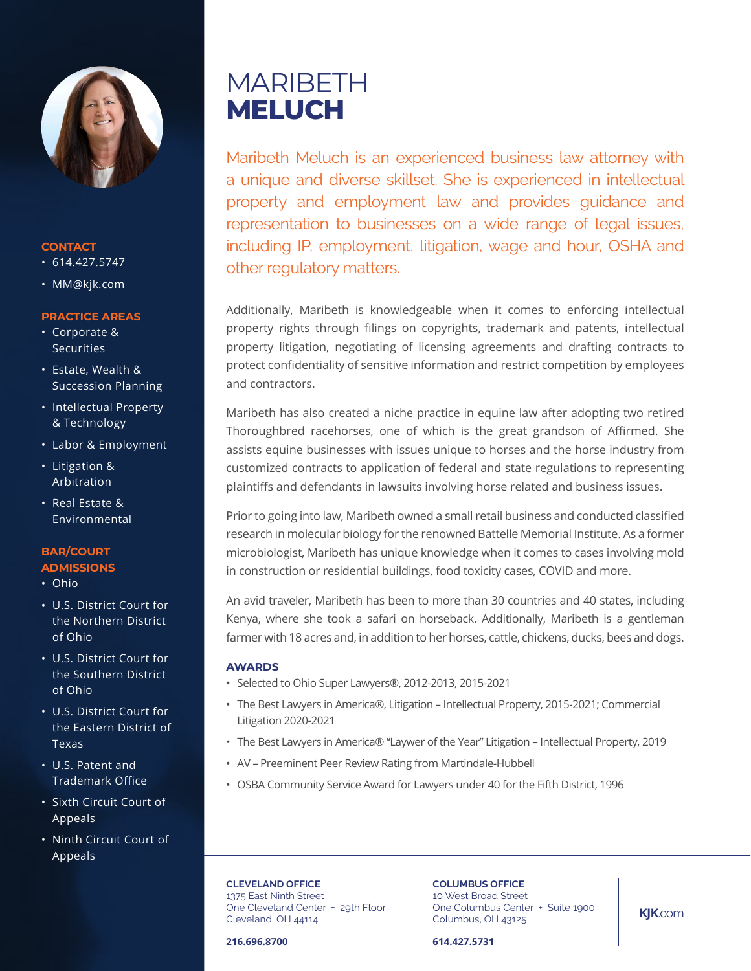

#### **CONTACT**

- $614.427.5747$
- MM@kjk.com

## **PRACTICE AREAS**

- Corporate & Securities
- Estate, Wealth & Succession Planning
- Intellectual Property & Technology
- Labor & Employment
- Litigation & Arbitration
- Real Estate & Environmental

## **BAR/COURT**

- **ADMISSIONS**
- Ohio
- U.S. District Court for the Northern District of Ohio
- U.S. District Court for the Southern District of Ohio
- U.S. District Court for the Eastern District of Texas
- U.S. Patent and Trademark Office
- Sixth Circuit Court of Appeals
- Ninth Circuit Court of Appeals

# MARIBETH **MELUCH**

Maribeth Meluch is an experienced business law attorney with a unique and diverse skillset. She is experienced in intellectual property and employment law and provides guidance and representation to businesses on a wide range of legal issues, including IP, employment, litigation, wage and hour, OSHA and other regulatory matters.

Additionally, Maribeth is knowledgeable when it comes to enforcing intellectual property rights through filings on copyrights, trademark and patents, intellectual property litigation, negotiating of licensing agreements and drafting contracts to protect confidentiality of sensitive information and restrict competition by employees and contractors.

Maribeth has also created a niche practice in equine law after adopting two retired Thoroughbred racehorses, one of which is the great grandson of Affirmed. She assists equine businesses with issues unique to horses and the horse industry from customized contracts to application of federal and state regulations to representing plaintiffs and defendants in lawsuits involving horse related and business issues.

Prior to going into law, Maribeth owned a small retail business and conducted classified research in molecular biology for the renowned Battelle Memorial Institute. As a former microbiologist, Maribeth has unique knowledge when it comes to cases involving mold in construction or residential buildings, food toxicity cases, COVID and more.

An avid traveler, Maribeth has been to more than 30 countries and 40 states, including Kenya, where she took a safari on horseback. Additionally, Maribeth is a gentleman farmer with 18 acres and, in addition to her horses, cattle, chickens, ducks, bees and dogs.

## **AWARDS**

- Selected to Ohio Super Lawyers®, 2012-2013, 2015-2021
- The Best Lawyers in America®, Litigation Intellectual Property, 2015-2021; Commercial Litigation 2020-2021
- The Best Lawyers in America® "Laywer of the Year" Litigation Intellectual Property, 2019
- AV Preeminent Peer Review Rating from Martindale-Hubbell
- OSBA Community Service Award for Lawyers under 40 for the Fifth District, 1996

**CLEVELAND OFFICE** 1375 East Ninth Street One Cleveland Center + 29th Floor Cleveland, OH 44114

**COLUMBUS OFFICE** 10 West Broad Street One Columbus Center + Suite 1900 Columbus, OH 43125

**216.696.8700**

**614.427.5731**